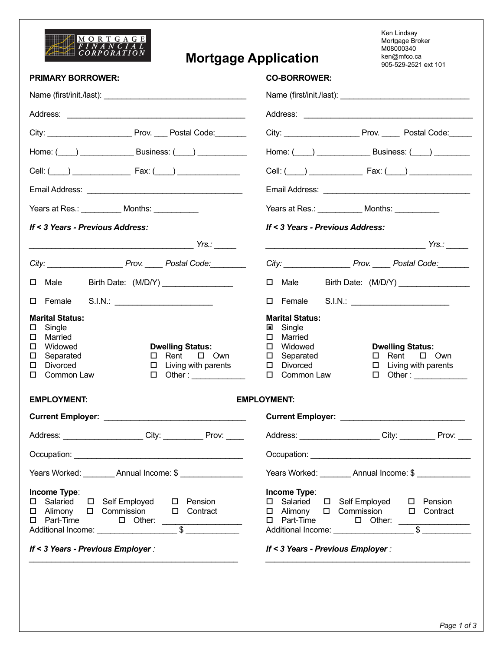

## **Mortgage Application**

Ken Lindsay Mortgage Broker M08000340<br>ken@mfco.ca<br>905-529-2521 ext 101

|                                                                                                                                                                                                                                                    | 900-029-2021 BXL IUT                                                                                                                                                                                                                                    |  |  |  |  |
|----------------------------------------------------------------------------------------------------------------------------------------------------------------------------------------------------------------------------------------------------|---------------------------------------------------------------------------------------------------------------------------------------------------------------------------------------------------------------------------------------------------------|--|--|--|--|
| <b>PRIMARY BORROWER:</b>                                                                                                                                                                                                                           | <b>CO-BORROWER:</b>                                                                                                                                                                                                                                     |  |  |  |  |
|                                                                                                                                                                                                                                                    |                                                                                                                                                                                                                                                         |  |  |  |  |
|                                                                                                                                                                                                                                                    |                                                                                                                                                                                                                                                         |  |  |  |  |
|                                                                                                                                                                                                                                                    | City: __________________________ Prov. _______ Postal Code:_______                                                                                                                                                                                      |  |  |  |  |
| Home: $(\_\_\_\_\_\_\_\_\$ Business: $(\_\_\_\_\_\_\_\_\_\_$                                                                                                                                                                                       | Home: $(\_\_\_\_\_\_\_\_\$ Business: $(\_\_\_\)_\_\_\_\_\_\_\_\$                                                                                                                                                                                        |  |  |  |  |
|                                                                                                                                                                                                                                                    | Cell: $($ $)$ Fax: $($ $)$                                                                                                                                                                                                                              |  |  |  |  |
|                                                                                                                                                                                                                                                    |                                                                                                                                                                                                                                                         |  |  |  |  |
| Years at Res.: ____________ Months: ___________                                                                                                                                                                                                    | Years at Res.: _____________ Months: ___________                                                                                                                                                                                                        |  |  |  |  |
| If < 3 Years - Previous Address:                                                                                                                                                                                                                   | If < 3 Years - Previous Address:                                                                                                                                                                                                                        |  |  |  |  |
|                                                                                                                                                                                                                                                    |                                                                                                                                                                                                                                                         |  |  |  |  |
| City: ___________________________Prov. _______ Postal Code:                                                                                                                                                                                        | City: __________________________ Prov. ______ Postal Code: ________                                                                                                                                                                                     |  |  |  |  |
| Birth Date: (M/D/Y) _______________<br>$\square$ Male                                                                                                                                                                                              | $\Box$ Male<br>Birth Date: (M/D/Y) ________________                                                                                                                                                                                                     |  |  |  |  |
| □ Female S.I.N.: _________________________                                                                                                                                                                                                         | □ Female S.I.N.: ________________________                                                                                                                                                                                                               |  |  |  |  |
| <b>Marital Status:</b><br>Single<br>$\Box$<br>Married<br>□<br>Widowed<br><b>Dwelling Status:</b><br>□<br>$\Box$ Rent $\Box$ Own<br>Separated<br>ш<br>Divorced<br>$\Box$ Living with parents<br>□<br>Common Law<br>$\Box$ Other: _____________<br>□ | <b>Marital Status:</b><br>Single<br>$\blacksquare$<br>$\Box$ Married<br>□ Widowed<br><b>Dwelling Status:</b><br>$\square$ Separated<br>$\Box$ Rent $\Box$ Own<br>D Divorced<br>$\Box$ Living with parents<br>□ Common Law<br>$\Box$ Other: ____________ |  |  |  |  |
| <b>EMPLOYMENT:</b><br><b>EMPLOYMENT:</b>                                                                                                                                                                                                           |                                                                                                                                                                                                                                                         |  |  |  |  |
|                                                                                                                                                                                                                                                    |                                                                                                                                                                                                                                                         |  |  |  |  |
| Address: City: Prov:                                                                                                                                                                                                                               | Address: ______________________City: ___________ Prov: ____                                                                                                                                                                                             |  |  |  |  |
|                                                                                                                                                                                                                                                    |                                                                                                                                                                                                                                                         |  |  |  |  |
| Years Worked: _________ Annual Income: \$ _______________                                                                                                                                                                                          | Years Worked: _________ Annual Income: \$                                                                                                                                                                                                               |  |  |  |  |
| Income Type:<br>□ Salaried □ Self Employed □ Pension<br>□ Alimony □ Commission □ Contract                                                                                                                                                          | Income Type:<br>□ Self Employed<br>□ Salaried<br>□ Pension<br>□ Alimony □ Commission □ Contract<br>$\Box$ Part-Time<br>$\sim$ $\sim$ $\sim$ $\sim$                                                                                                      |  |  |  |  |

*\_\_\_\_\_\_\_\_\_\_\_\_\_\_\_\_\_\_\_\_\_\_\_\_\_\_\_\_\_\_\_\_\_\_\_\_\_\_\_\_\_\_\_\_\_\_\_ \_\_\_\_\_\_\_\_\_\_\_\_\_\_\_\_\_\_\_\_\_\_\_\_\_\_\_\_\_\_\_\_\_\_\_\_\_\_\_\_\_\_\_\_\_\_*

*If < 3 Years - Previous Employer : If < 3 Years - Previous Employer :*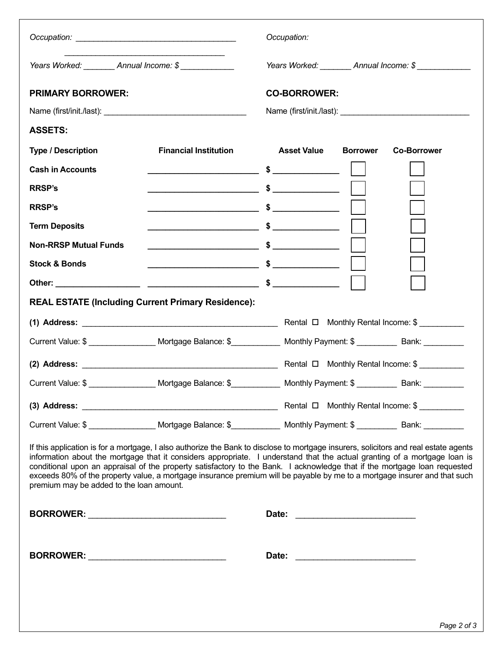|                                                                                                                                                                                                                                                                                                                                                                                                                                                                                                                                                                         |                              |       | Occupation:         |                                                     |                                            |
|-------------------------------------------------------------------------------------------------------------------------------------------------------------------------------------------------------------------------------------------------------------------------------------------------------------------------------------------------------------------------------------------------------------------------------------------------------------------------------------------------------------------------------------------------------------------------|------------------------------|-------|---------------------|-----------------------------------------------------|--------------------------------------------|
| Years Worked: __________ Annual Income: \$ _____________                                                                                                                                                                                                                                                                                                                                                                                                                                                                                                                |                              |       |                     |                                                     | Years Worked: __________ Annual Income: \$ |
| <b>PRIMARY BORROWER:</b>                                                                                                                                                                                                                                                                                                                                                                                                                                                                                                                                                |                              |       | <b>CO-BORROWER:</b> |                                                     |                                            |
|                                                                                                                                                                                                                                                                                                                                                                                                                                                                                                                                                                         |                              |       |                     |                                                     |                                            |
| <b>ASSETS:</b>                                                                                                                                                                                                                                                                                                                                                                                                                                                                                                                                                          |                              |       |                     |                                                     |                                            |
| <b>Type / Description</b>                                                                                                                                                                                                                                                                                                                                                                                                                                                                                                                                               | <b>Financial Institution</b> |       | <b>Asset Value</b>  | <b>Borrower</b>                                     | <b>Co-Borrower</b>                         |
| <b>Cash in Accounts</b>                                                                                                                                                                                                                                                                                                                                                                                                                                                                                                                                                 |                              |       |                     |                                                     |                                            |
| <b>RRSP's</b>                                                                                                                                                                                                                                                                                                                                                                                                                                                                                                                                                           |                              |       |                     |                                                     |                                            |
| <b>RRSP's</b>                                                                                                                                                                                                                                                                                                                                                                                                                                                                                                                                                           |                              |       |                     |                                                     |                                            |
| <b>Term Deposits</b>                                                                                                                                                                                                                                                                                                                                                                                                                                                                                                                                                    |                              |       |                     |                                                     |                                            |
| <b>Non-RRSP Mutual Funds</b>                                                                                                                                                                                                                                                                                                                                                                                                                                                                                                                                            |                              |       |                     |                                                     |                                            |
| <b>Stock &amp; Bonds</b>                                                                                                                                                                                                                                                                                                                                                                                                                                                                                                                                                |                              |       |                     |                                                     |                                            |
|                                                                                                                                                                                                                                                                                                                                                                                                                                                                                                                                                                         |                              |       |                     |                                                     |                                            |
| <b>REAL ESTATE (Including Current Primary Residence):</b>                                                                                                                                                                                                                                                                                                                                                                                                                                                                                                               |                              |       |                     |                                                     |                                            |
|                                                                                                                                                                                                                                                                                                                                                                                                                                                                                                                                                                         |                              |       |                     |                                                     |                                            |
| Current Value: \$ _____________________Mortgage Balance: \$______________Monthly Payment: \$ _____________Bank: _________                                                                                                                                                                                                                                                                                                                                                                                                                                               |                              |       |                     |                                                     |                                            |
|                                                                                                                                                                                                                                                                                                                                                                                                                                                                                                                                                                         |                              |       |                     |                                                     |                                            |
| Current Value: \$ ___________________Mortgage Balance: \$ _____________Monthly Payment: \$ ____________ Bank: ________                                                                                                                                                                                                                                                                                                                                                                                                                                                  |                              |       |                     |                                                     |                                            |
|                                                                                                                                                                                                                                                                                                                                                                                                                                                                                                                                                                         |                              |       |                     |                                                     | Rental □ Monthly Rental Income: \$         |
| Current Value: \$ ___________________ Mortgage Balance: \$______________ Monthly Payment: \$ __________ Bank: __________                                                                                                                                                                                                                                                                                                                                                                                                                                                |                              |       |                     |                                                     |                                            |
| If this application is for a mortgage, I also authorize the Bank to disclose to mortgage insurers, solicitors and real estate agents<br>information about the mortgage that it considers appropriate. I understand that the actual granting of a mortgage loan is<br>conditional upon an appraisal of the property satisfactory to the Bank. I acknowledge that if the mortgage loan requested<br>exceeds 80% of the property value, a mortgage insurance premium will be payable by me to a mortgage insurer and that such<br>premium may be added to the loan amount. |                              |       |                     |                                                     |                                            |
|                                                                                                                                                                                                                                                                                                                                                                                                                                                                                                                                                                         |                              |       |                     |                                                     |                                            |
| BORROWER: New York State State State State State State State State State State State State State State State State State State State State State State State State State State State State State State State State State State                                                                                                                                                                                                                                                                                                                                          |                              | Date: |                     | <u> 1989 - Johann Barbara, martin amerikan basa</u> |                                            |